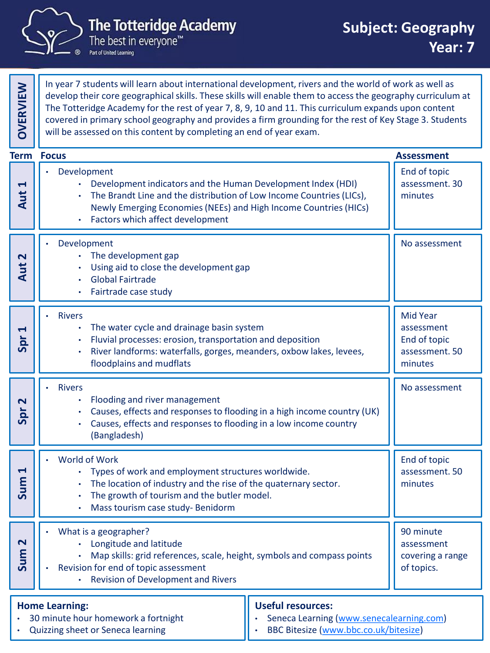

Part of United Learning

In year 7 students will learn about international development, rivers and the world of work as well as develop their core geographical skills. These skills will enable them to access the geography curriculum at The Totteridge Academy for the rest of year 7, 8, 9, 10 and 11. This curriculum expands upon content covered in primary school geography and provides a firm grounding for the rest of Key Stage 3. Students will be assessed on this content by completing an end of year exam.

|                                                                                                                                                                                                                    | <b>Term Focus</b>                                                                                                                                                                                                                                                        |  | <b>Assessment</b>                                                          |
|--------------------------------------------------------------------------------------------------------------------------------------------------------------------------------------------------------------------|--------------------------------------------------------------------------------------------------------------------------------------------------------------------------------------------------------------------------------------------------------------------------|--|----------------------------------------------------------------------------|
| 1<br>Aut                                                                                                                                                                                                           | Development<br>Development indicators and the Human Development Index (HDI)<br>The Brandt Line and the distribution of Low Income Countries (LICs),<br>Newly Emerging Economies (NEEs) and High Income Countries (HICs)<br>Factors which affect development<br>$\bullet$ |  | End of topic<br>assessment. 30<br>minutes                                  |
| 2<br>Aut                                                                                                                                                                                                           | Development<br>The development gap<br>Using aid to close the development gap<br><b>Global Fairtrade</b><br>Fairtrade case study<br>$\bullet$                                                                                                                             |  | No assessment                                                              |
| H<br>Spr                                                                                                                                                                                                           | <b>Rivers</b><br>The water cycle and drainage basin system<br>Fluvial processes: erosion, transportation and deposition<br>River landforms: waterfalls, gorges, meanders, oxbow lakes, levees,<br>$\bullet$<br>floodplains and mudflats                                  |  | <b>Mid Year</b><br>assessment<br>End of topic<br>assessment. 50<br>minutes |
| Spr <sub>2</sub>                                                                                                                                                                                                   | <b>Rivers</b><br>Flooding and river management<br>Causes, effects and responses to flooding in a high income country (UK)<br>Causes, effects and responses to flooding in a low income country<br>(Bangladesh)                                                           |  | No assessment                                                              |
| 1<br>Sum                                                                                                                                                                                                           | World of Work<br>Types of work and employment structures worldwide.<br>The location of industry and the rise of the quaternary sector.<br>The growth of tourism and the butler model.<br>Mass tourism case study- Benidorm<br>٠                                          |  | End of topic<br>assessment. 50<br>minutes                                  |
| N<br><b>Sur</b>                                                                                                                                                                                                    | What is a geographer?<br>• Longitude and latitude<br>Map skills: grid references, scale, height, symbols and compass points<br>Revision for end of topic assessment<br><b>Revision of Development and Rivers</b><br>۰                                                    |  | 90 minute<br>assessment<br>covering a range<br>of topics.                  |
| <b>Useful resources:</b><br><b>Home Learning:</b><br>30 minute hour homework a fortnight<br>Seneca Learning (www.senecalearning.com)<br>BBC Bitesize (www.bbc.co.uk/bitesize)<br>Quizzing sheet or Seneca learning |                                                                                                                                                                                                                                                                          |  |                                                                            |

• Quizzing sheet or Seneca learning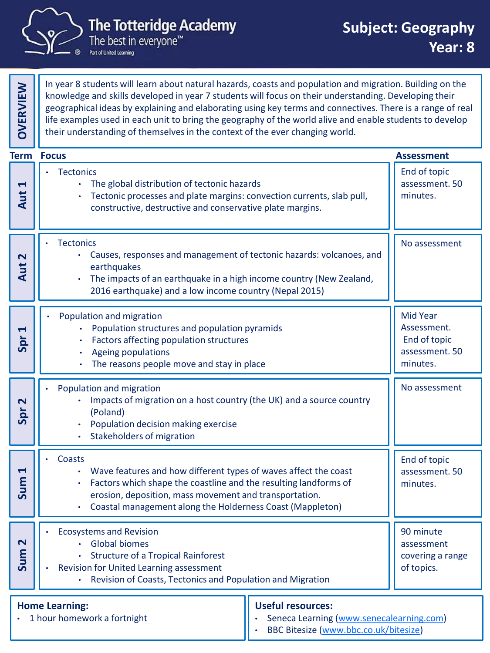

Part of United Learning

In year 8 students will learn about natural hazards, coasts and population and migration. Building on the knowledge and skills developed in year 7 students will focus on their understanding. Developing their geographical ideas by explaining and elaborating using key terms and connectives. There is a range of real life examples used in each unit to bring the geography of the world alive and enable students to develop their understanding of themselves in the context of the ever changing world.

| <b>Term</b>                                                                                                                                                           | <b>Focus</b>                                                                                                                                                                                                                                                                      |  | <b>Assessment</b>                                                            |
|-----------------------------------------------------------------------------------------------------------------------------------------------------------------------|-----------------------------------------------------------------------------------------------------------------------------------------------------------------------------------------------------------------------------------------------------------------------------------|--|------------------------------------------------------------------------------|
| 1<br>Aut                                                                                                                                                              | <b>Tectonics</b><br>The global distribution of tectonic hazards<br>Tectonic processes and plate margins: convection currents, slab pull,<br>constructive, destructive and conservative plate margins.                                                                             |  | End of topic<br>assessment. 50<br>minutes.                                   |
| 2<br>Aut                                                                                                                                                              | <b>Tectonics</b><br>Causes, responses and management of tectonic hazards: volcanoes, and<br>$\bullet$<br>earthquakes<br>The impacts of an earthquake in a high income country (New Zealand,<br>2016 earthquake) and a low income country (Nepal 2015)                             |  | No assessment                                                                |
| 4<br>Spr                                                                                                                                                              | Population and migration<br>Population structures and population pyramids<br>Factors affecting population structures<br>Ageing populations<br>The reasons people move and stay in place                                                                                           |  | <b>Mid Year</b><br>Assessment.<br>End of topic<br>assessment. 50<br>minutes. |
| Spr <sub>2</sub>                                                                                                                                                      | Population and migration<br>Impacts of migration on a host country (the UK) and a source country<br>(Poland)<br>Population decision making exercise<br><b>Stakeholders of migration</b>                                                                                           |  | No assessment                                                                |
| 4<br>Sum                                                                                                                                                              | Coasts<br>Wave features and how different types of waves affect the coast<br>$\bullet$<br>Factors which shape the coastline and the resulting landforms of<br>erosion, deposition, mass movement and transportation.<br>Coastal management along the Holderness Coast (Mappleton) |  | End of topic<br>assessment. 50<br>minutes.                                   |
| N<br><b>Sur</b>                                                                                                                                                       | <b>Ecosystems and Revision</b><br><b>Global biomes</b><br><b>Structure of a Tropical Rainforest</b><br>Revision for United Learning assessment<br>٠<br>Revision of Coasts, Tectonics and Population and Migration                                                                 |  | 90 minute<br>assessment<br>covering a range<br>of topics.                    |
| <b>Useful resources:</b><br><b>Home Learning:</b><br>1 hour homework a fortnight<br>Seneca Learning (www.senecalearning.com)<br>BBC Bitesize (www.bbc.co.uk/bitesize) |                                                                                                                                                                                                                                                                                   |  |                                                                              |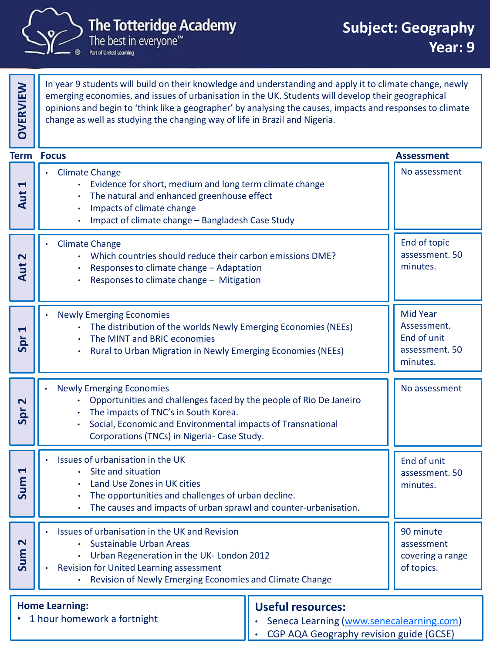

In year 9 students will build on their knowledge and understanding and apply it to climate change, newly emerging economies, and issues of urbanisation in the UK. Students will develop their geographical opinions and begin to 'think like a geographer' by analysing the causes, impacts and responses to climate change as well as studying the changing way of life in Brazil and Nigeria.

|                                                      | <b>Term Focus</b>                                                                                                                                                                                                                                           |                                                                                                                 | <b>Assessment</b>                                                    |
|------------------------------------------------------|-------------------------------------------------------------------------------------------------------------------------------------------------------------------------------------------------------------------------------------------------------------|-----------------------------------------------------------------------------------------------------------------|----------------------------------------------------------------------|
| $\blacktriangleleft$<br>Aut                          | <b>Climate Change</b><br>Evidence for short, medium and long term climate change<br>The natural and enhanced greenhouse effect<br>Impacts of climate change<br>Impact of climate change - Bangladesh Case Study                                             |                                                                                                                 | No assessment                                                        |
| $\mathbf{\mathsf{N}}$<br>Aut                         | <b>Climate Change</b><br>• Which countries should reduce their carbon emissions DME?<br>Responses to climate change - Adaptation<br>Responses to climate change - Mitigation                                                                                |                                                                                                                 | End of topic<br>assessment. 50<br>minutes.                           |
| $\blacktriangleleft$<br>Spr                          | <b>Newly Emerging Economies</b><br>The distribution of the worlds Newly Emerging Economies (NEEs)<br>The MINT and BRIC economies<br>Rural to Urban Migration in Newly Emerging Economies (NEEs)                                                             |                                                                                                                 | Mid Year<br>Assessment.<br>End of unit<br>assessment. 50<br>minutes. |
| $\overline{\mathbf{N}}$<br>Spr                       | <b>Newly Emerging Economies</b><br>Opportunities and challenges faced by the people of Rio De Janeiro<br>The impacts of TNC's in South Korea.<br>Social, Economic and Environmental impacts of Transnational<br>Corporations (TNCs) in Nigeria- Case Study. |                                                                                                                 | No assessment                                                        |
| $\blacktriangleleft$<br>Sum                          | Issues of urbanisation in the UK<br>Site and situation<br>Land Use Zones in UK cities<br>The opportunities and challenges of urban decline.<br>٠<br>The causes and impacts of urban sprawl and counter-urbanisation.                                        |                                                                                                                 | End of unit<br>assessment. 50<br>minutes.                            |
| N<br>Я<br>Sur                                        | Issues of urbanisation in the UK and Revision<br>Sustainable Urban Areas<br>Urban Regeneration in the UK- London 2012<br>Revision for United Learning assessment<br>Revision of Newly Emerging Economies and Climate Change                                 |                                                                                                                 | 90 minute<br>assessment<br>covering a range<br>of topics.            |
| <b>Home Learning:</b><br>1 hour homework a fortnight |                                                                                                                                                                                                                                                             | <b>Useful resources:</b><br>Seneca Learning (www.senecalearning.com)<br>CGP AQA Geography revision guide (GCSE) |                                                                      |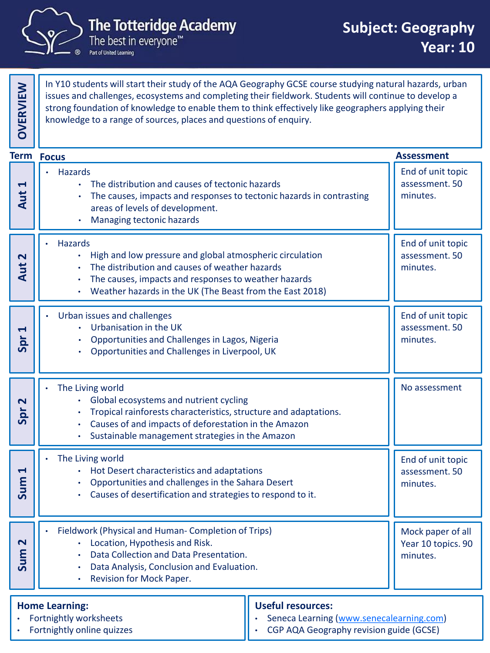

Part of United Learning

In Y10 students will start their study of the AQA Geography GCSE course studying natural hazards, urban issues and challenges, ecosystems and completing their fieldwork. Students will continue to develop a strong foundation of knowledge to enable them to think effectively like geographers applying their knowledge to a range of sources, places and questions of enquiry.

|                                                                               | <b>Term Focus</b>                                                                                                                                                                                                                         |                                                                                                                 | <b>Assessment</b>                                   |
|-------------------------------------------------------------------------------|-------------------------------------------------------------------------------------------------------------------------------------------------------------------------------------------------------------------------------------------|-----------------------------------------------------------------------------------------------------------------|-----------------------------------------------------|
| Ţ<br>Aut                                                                      | <b>Hazards</b><br>The distribution and causes of tectonic hazards<br>The causes, impacts and responses to tectonic hazards in contrasting<br>areas of levels of development.<br>Managing tectonic hazards<br>$\bullet$                    |                                                                                                                 | End of unit topic<br>assessment. 50<br>minutes.     |
| $\overline{\mathbf{r}}$<br>Aut                                                | Hazards<br>High and low pressure and global atmospheric circulation<br>The distribution and causes of weather hazards<br>The causes, impacts and responses to weather hazards<br>Weather hazards in the UK (The Beast from the East 2018) |                                                                                                                 | End of unit topic<br>assessment. 50<br>minutes.     |
| H<br>Spr                                                                      | Urban issues and challenges<br>Urbanisation in the UK<br>Opportunities and Challenges in Lagos, Nigeria<br>Opportunities and Challenges in Liverpool, UK                                                                                  |                                                                                                                 | End of unit topic<br>assessment. 50<br>minutes.     |
| $\overline{\mathbf{r}}$<br>Spr                                                | The Living world<br>Global ecosystems and nutrient cycling<br>Tropical rainforests characteristics, structure and adaptations.<br>Causes of and impacts of deforestation in the Amazon<br>Sustainable management strategies in the Amazon |                                                                                                                 | No assessment                                       |
| 4<br>Sum                                                                      | The Living world<br>Hot Desert characteristics and adaptations<br>Opportunities and challenges in the Sahara Desert<br>Causes of desertification and strategies to respond to it.                                                         |                                                                                                                 | End of unit topic<br>assessment. 50<br>minutes.     |
| $\mathbf{\mathsf{N}}$<br>Sum                                                  | Fieldwork (Physical and Human- Completion of Trips)<br>• Location, Hypothesis and Risk.<br>Data Collection and Data Presentation.<br>Data Analysis, Conclusion and Evaluation.<br>Revision for Mock Paper.<br>$\bullet$                   |                                                                                                                 | Mock paper of all<br>Year 10 topics. 90<br>minutes. |
| <b>Home Learning:</b><br>Fortnightly worksheets<br>Fortnightly online quizzes |                                                                                                                                                                                                                                           | <b>Useful resources:</b><br>Seneca Learning (www.senecalearning.com)<br>CGP AQA Geography revision guide (GCSE) |                                                     |